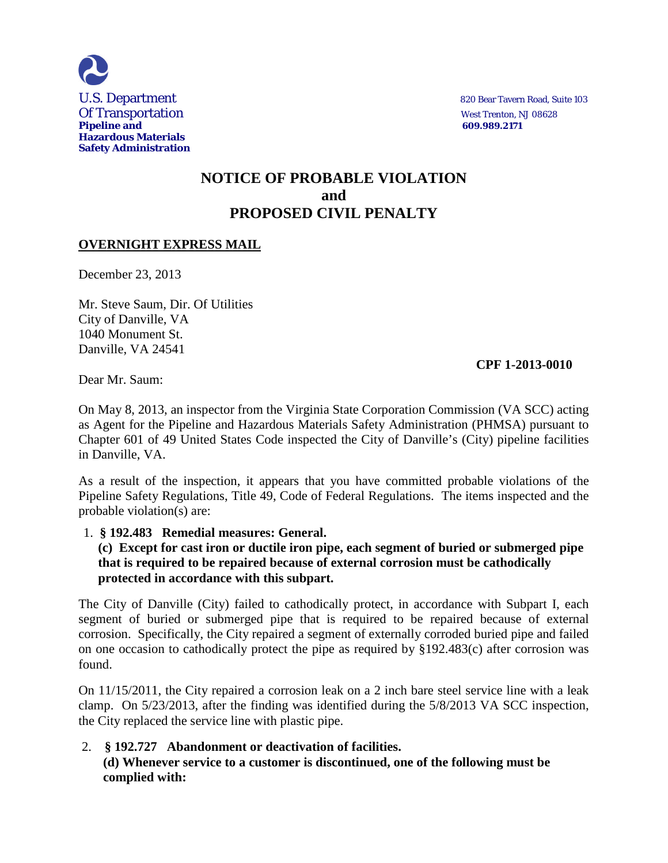

# **NOTICE OF PROBABLE VIOLATION and PROPOSED CIVIL PENALTY**

## **OVERNIGHT EXPRESS MAIL**

December 23, 2013

Mr. Steve Saum, Dir. Of Utilities City of Danville, VA 1040 Monument St. Danville, VA 24541

## **CPF 1-2013-0010**

Dear Mr. Saum:

On May 8, 2013, an inspector from the Virginia State Corporation Commission (VA SCC) acting as Agent for the Pipeline and Hazardous Materials Safety Administration (PHMSA) pursuant to Chapter 601 of 49 United States Code inspected the City of Danville's (City) pipeline facilities in Danville, VA.

As a result of the inspection, it appears that you have committed probable violations of the Pipeline Safety Regulations, Title 49, Code of Federal Regulations. The items inspected and the probable violation(s) are:

## 1. **§ 192.483 Remedial measures: General.**

## **(c) Except for cast iron or ductile iron pipe, each segment of buried or submerged pipe that is required to be repaired because of external corrosion must be cathodically protected in accordance with this subpart.**

The City of Danville (City) failed to cathodically protect, in accordance with Subpart I, each segment of buried or submerged pipe that is required to be repaired because of external corrosion. Specifically, the City repaired a segment of externally corroded buried pipe and failed on one occasion to cathodically protect the pipe as required by §192.483(c) after corrosion was found.

On 11/15/2011, the City repaired a corrosion leak on a 2 inch bare steel service line with a leak clamp. On 5/23/2013, after the finding was identified during the 5/8/2013 VA SCC inspection, the City replaced the service line with plastic pipe.

## 2. **§ 192.727 Abandonment or deactivation of facilities. (d) Whenever service to a customer is discontinued, one of the following must be complied with:**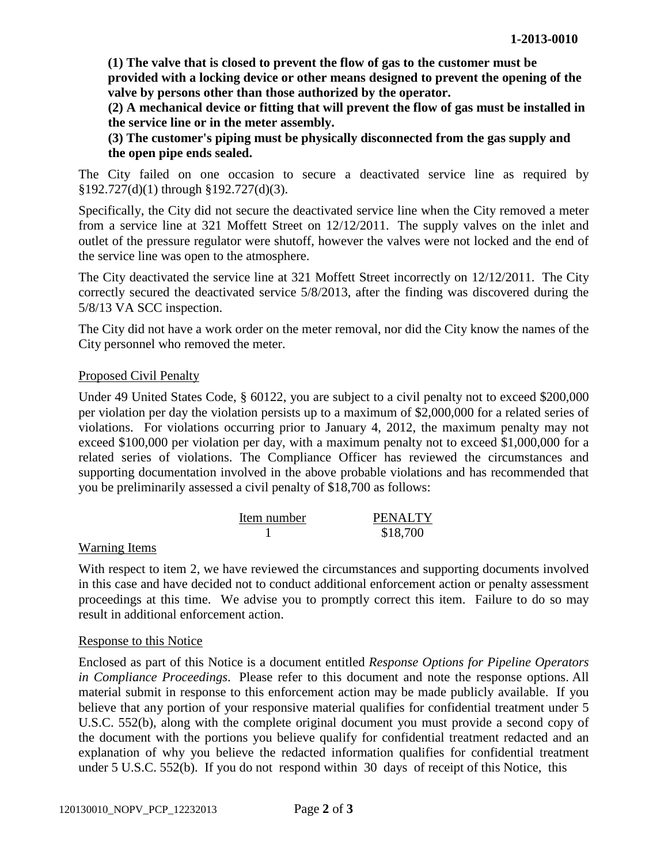**(1) The valve that is closed to prevent the flow of gas to the customer must be provided with a locking device or other means designed to prevent the opening of the valve by persons other than those authorized by the operator.**

**(2) A mechanical device or fitting that will prevent the flow of gas must be installed in the service line or in the meter assembly.**

**(3) The customer's piping must be physically disconnected from the gas supply and the open pipe ends sealed.**

The City failed on one occasion to secure a deactivated service line as required by §192.727(d)(1) through §192.727(d)(3).

Specifically, the City did not secure the deactivated service line when the City removed a meter from a service line at 321 Moffett Street on 12/12/2011. The supply valves on the inlet and outlet of the pressure regulator were shutoff, however the valves were not locked and the end of the service line was open to the atmosphere.

The City deactivated the service line at 321 Moffett Street incorrectly on 12/12/2011. The City correctly secured the deactivated service 5/8/2013, after the finding was discovered during the 5/8/13 VA SCC inspection.

The City did not have a work order on the meter removal, nor did the City know the names of the City personnel who removed the meter.

## Proposed Civil Penalty

Under 49 United States Code, § 60122, you are subject to a civil penalty not to exceed \$200,000 per violation per day the violation persists up to a maximum of \$2,000,000 for a related series of violations. For violations occurring prior to January 4, 2012, the maximum penalty may not exceed \$100,000 per violation per day, with a maximum penalty not to exceed \$1,000,000 for a related series of violations. The Compliance Officer has reviewed the circumstances and supporting documentation involved in the above probable violations and has recommended that you be preliminarily assessed a civil penalty of \$18,700 as follows:

| Item number | <b>PENALTY</b> |
|-------------|----------------|
|             | \$18,700       |

## Warning Items

With respect to item 2, we have reviewed the circumstances and supporting documents involved in this case and have decided not to conduct additional enforcement action or penalty assessment proceedings at this time. We advise you to promptly correct this item. Failure to do so may result in additional enforcement action.

## Response to this Notice

Enclosed as part of this Notice is a document entitled *Response Options for Pipeline Operators in Compliance Proceedings*. Please refer to this document and note the response options. All material submit in response to this enforcement action may be made publicly available. If you believe that any portion of your responsive material qualifies for confidential treatment under 5 U.S.C. 552(b), along with the complete original document you must provide a second copy of the document with the portions you believe qualify for confidential treatment redacted and an explanation of why you believe the redacted information qualifies for confidential treatment under 5 U.S.C. 552(b). If you do not respond within 30 days of receipt of this Notice, this